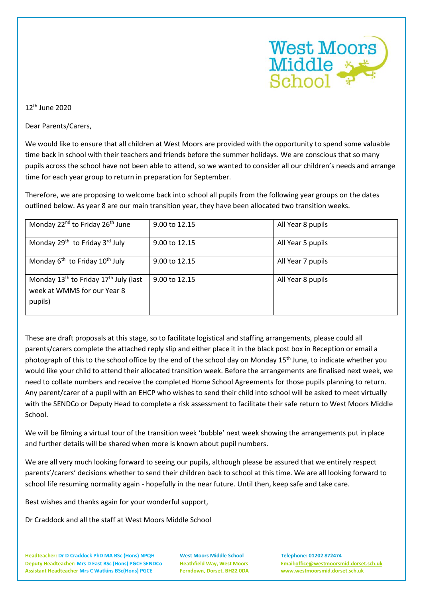

 $12<sup>th</sup>$  June 2020

Dear Parents/Carers,

We would like to ensure that all children at West Moors are provided with the opportunity to spend some valuable time back in school with their teachers and friends before the summer holidays. We are conscious that so many pupils across the school have not been able to attend, so we wanted to consider all our children's needs and arrange time for each year group to return in preparation for September.

Therefore, we are proposing to welcome back into school all pupils from the following year groups on the dates outlined below. As year 8 are our main transition year, they have been allocated two transition weeks.

| Monday 22 <sup>nd</sup> to Friday 26 <sup>th</sup> June                                                 | 9.00 to 12.15 | All Year 8 pupils |
|---------------------------------------------------------------------------------------------------------|---------------|-------------------|
| Monday 29 <sup>th</sup> to Friday 3 <sup>rd</sup> July                                                  | 9.00 to 12.15 | All Year 5 pupils |
| Monday $6^{th}$ to Friday $10^{th}$ July                                                                | 9.00 to 12.15 | All Year 7 pupils |
| Monday 13 <sup>th</sup> to Friday 17 <sup>th</sup> July (last<br>week at WMMS for our Year 8<br>pupils) | 9.00 to 12.15 | All Year 8 pupils |

These are draft proposals at this stage, so to facilitate logistical and staffing arrangements, please could all parents/carers complete the attached reply slip and either place it in the black post box in Reception or email a photograph of this to the school office by the end of the school day on Monday 15<sup>th</sup> June, to indicate whether you would like your child to attend their allocated transition week. Before the arrangements are finalised next week, we need to collate numbers and receive the completed Home School Agreements for those pupils planning to return. Any parent/carer of a pupil with an EHCP who wishes to send their child into school will be asked to meet virtually with the SENDCo or Deputy Head to complete a risk assessment to facilitate their safe return to West Moors Middle School.

We will be filming a virtual tour of the transition week 'bubble' next week showing the arrangements put in place and further details will be shared when more is known about pupil numbers.

We are all very much looking forward to seeing our pupils, although please be assured that we entirely respect parents'/carers' decisions whether to send their children back to school at this time. We are all looking forward to school life resuming normality again - hopefully in the near future. Until then, keep safe and take care.

Best wishes and thanks again for your wonderful support,

Dr Craddock and all the staff at West Moors Middle School

**Headteacher: Dr D Craddock PhD MA BSc (Hons) NPQH West Moors Middle School Telephone: 01202 872474 Deputy Headteacher: Mrs D East BSc (Hons) PGCE SENDCo Heathfield Way, West Moors Email[:office@westmoorsmid.dorset.sch.uk](mailto:office@westmoorsmid.dorset.sch.uk) Assistant Headteacher Mrs C Watkins BSc(Hons) PGCE Ferndown, Dorset, BH22 0DA www.westmoorsmid.dorset.sch.uk**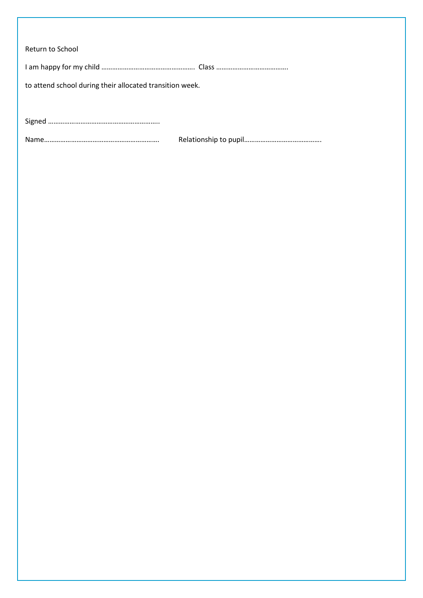| Return to School                                         |  |  |
|----------------------------------------------------------|--|--|
|                                                          |  |  |
| to attend school during their allocated transition week. |  |  |
|                                                          |  |  |
|                                                          |  |  |
|                                                          |  |  |